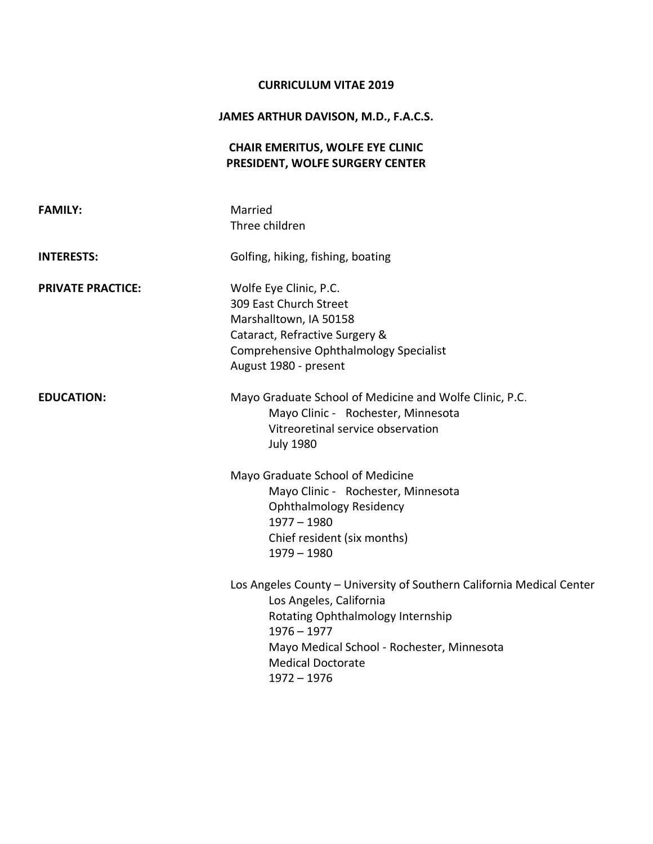## **CURRICULUM VITAE 2019**

## **JAMES ARTHUR DAVISON, M.D., F.A.C.S.**

# **CHAIR EMERITUS, WOLFE EYE CLINIC PRESIDENT, WOLFE SURGERY CENTER**

| <b>FAMILY:</b>           | Married<br>Three children                                                                                                                                                                                                                         |
|--------------------------|---------------------------------------------------------------------------------------------------------------------------------------------------------------------------------------------------------------------------------------------------|
| <b>INTERESTS:</b>        | Golfing, hiking, fishing, boating                                                                                                                                                                                                                 |
| <b>PRIVATE PRACTICE:</b> | Wolfe Eye Clinic, P.C.<br>309 East Church Street<br>Marshalltown, IA 50158<br>Cataract, Refractive Surgery &<br>Comprehensive Ophthalmology Specialist<br>August 1980 - present                                                                   |
| <b>EDUCATION:</b>        | Mayo Graduate School of Medicine and Wolfe Clinic, P.C.<br>Mayo Clinic - Rochester, Minnesota<br>Vitreoretinal service observation<br><b>July 1980</b><br>Mayo Graduate School of Medicine                                                        |
|                          | Mayo Clinic - Rochester, Minnesota<br><b>Ophthalmology Residency</b><br>$1977 - 1980$<br>Chief resident (six months)<br>$1979 - 1980$                                                                                                             |
|                          | Los Angeles County - University of Southern California Medical Center<br>Los Angeles, California<br>Rotating Ophthalmology Internship<br>$1976 - 1977$<br>Mayo Medical School - Rochester, Minnesota<br><b>Medical Doctorate</b><br>$1972 - 1976$ |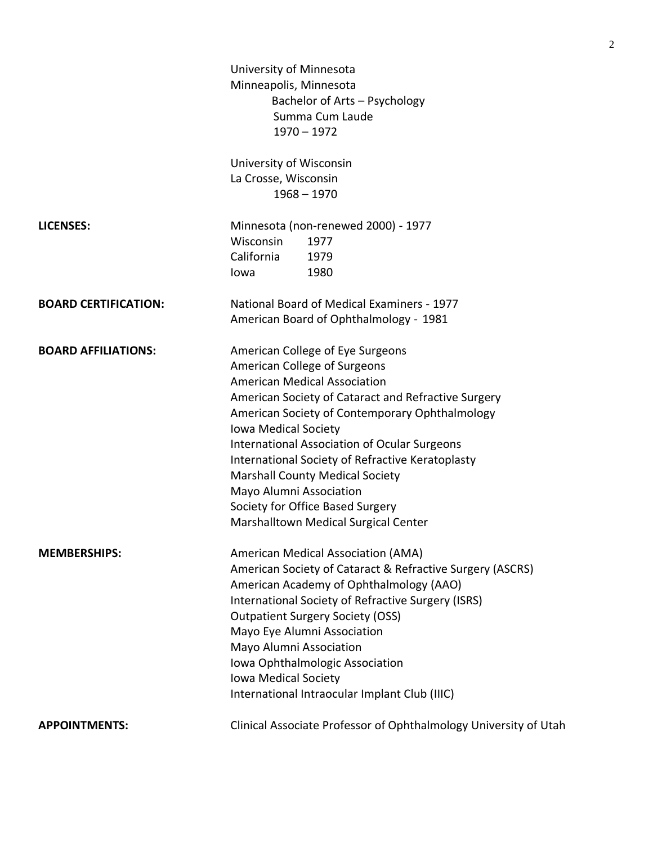|                             | University of Minnesota<br>Minneapolis, Minnesota<br>Bachelor of Arts - Psychology<br>Summa Cum Laude<br>$1970 - 1972$                                                                                                                                                                                                                                                                                                                                                                               |
|-----------------------------|------------------------------------------------------------------------------------------------------------------------------------------------------------------------------------------------------------------------------------------------------------------------------------------------------------------------------------------------------------------------------------------------------------------------------------------------------------------------------------------------------|
|                             | University of Wisconsin<br>La Crosse, Wisconsin<br>$1968 - 1970$                                                                                                                                                                                                                                                                                                                                                                                                                                     |
| <b>LICENSES:</b>            | Minnesota (non-renewed 2000) - 1977<br>Wisconsin<br>1977<br>California<br>1979<br>1980<br>lowa                                                                                                                                                                                                                                                                                                                                                                                                       |
| <b>BOARD CERTIFICATION:</b> | National Board of Medical Examiners - 1977<br>American Board of Ophthalmology - 1981                                                                                                                                                                                                                                                                                                                                                                                                                 |
| <b>BOARD AFFILIATIONS:</b>  | American College of Eye Surgeons<br>American College of Surgeons<br><b>American Medical Association</b><br>American Society of Cataract and Refractive Surgery<br>American Society of Contemporary Ophthalmology<br>Iowa Medical Society<br><b>International Association of Ocular Surgeons</b><br>International Society of Refractive Keratoplasty<br><b>Marshall County Medical Society</b><br>Mayo Alumni Association<br>Society for Office Based Surgery<br>Marshalltown Medical Surgical Center |
| <b>MEMBERSHIPS:</b>         | American Medical Association (AMA)<br>American Society of Cataract & Refractive Surgery (ASCRS)<br>American Academy of Ophthalmology (AAO)<br>International Society of Refractive Surgery (ISRS)<br><b>Outpatient Surgery Society (OSS)</b><br>Mayo Eye Alumni Association<br>Mayo Alumni Association<br>Iowa Ophthalmologic Association<br>Iowa Medical Society<br>International Intraocular Implant Club (IIIC)                                                                                    |
| <b>APPOINTMENTS:</b>        | Clinical Associate Professor of Ophthalmology University of Utah                                                                                                                                                                                                                                                                                                                                                                                                                                     |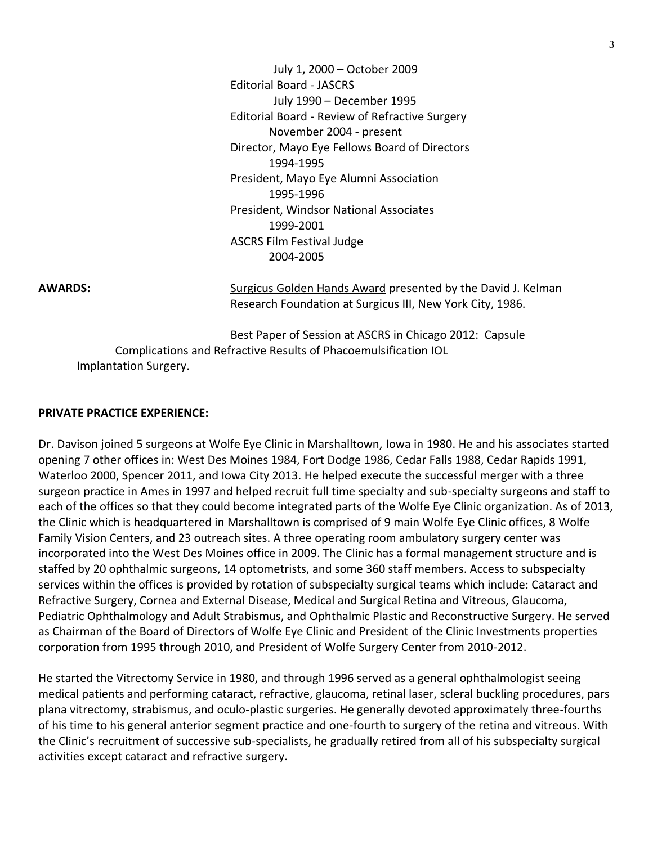July 1, 2000 – October 2009 Editorial Board - JASCRS July 1990 – December 1995 Editorial Board - Review of Refractive Surgery November 2004 - present Director, Mayo Eye Fellows Board of Directors 1994-1995 President, Mayo Eye Alumni Association 1995-1996 President, Windsor National Associates 1999-2001 ASCRS Film Festival Judge 2004-2005

**AWARDS:** Surgicus Golden Hands Award presented by the David J. Kelman Research Foundation at Surgicus III, New York City, 1986.

Best Paper of Session at ASCRS in Chicago 2012: Capsule Complications and Refractive Results of Phacoemulsification IOL Implantation Surgery.

#### **PRIVATE PRACTICE EXPERIENCE:**

Dr. Davison joined 5 surgeons at Wolfe Eye Clinic in Marshalltown, Iowa in 1980. He and his associates started opening 7 other offices in: West Des Moines 1984, Fort Dodge 1986, Cedar Falls 1988, Cedar Rapids 1991, Waterloo 2000, Spencer 2011, and Iowa City 2013. He helped execute the successful merger with a three surgeon practice in Ames in 1997 and helped recruit full time specialty and sub-specialty surgeons and staff to each of the offices so that they could become integrated parts of the Wolfe Eye Clinic organization. As of 2013, the Clinic which is headquartered in Marshalltown is comprised of 9 main Wolfe Eye Clinic offices, 8 Wolfe Family Vision Centers, and 23 outreach sites. A three operating room ambulatory surgery center was incorporated into the West Des Moines office in 2009. The Clinic has a formal management structure and is staffed by 20 ophthalmic surgeons, 14 optometrists, and some 360 staff members. Access to subspecialty services within the offices is provided by rotation of subspecialty surgical teams which include: Cataract and Refractive Surgery, Cornea and External Disease, Medical and Surgical Retina and Vitreous, Glaucoma, Pediatric Ophthalmology and Adult Strabismus, and Ophthalmic Plastic and Reconstructive Surgery. He served as Chairman of the Board of Directors of Wolfe Eye Clinic and President of the Clinic Investments properties corporation from 1995 through 2010, and President of Wolfe Surgery Center from 2010-2012.

He started the Vitrectomy Service in 1980, and through 1996 served as a general ophthalmologist seeing medical patients and performing cataract, refractive, glaucoma, retinal laser, scleral buckling procedures, pars plana vitrectomy, strabismus, and oculo-plastic surgeries. He generally devoted approximately three-fourths of his time to his general anterior segment practice and one-fourth to surgery of the retina and vitreous. With the Clinic's recruitment of successive sub-specialists, he gradually retired from all of his subspecialty surgical activities except cataract and refractive surgery.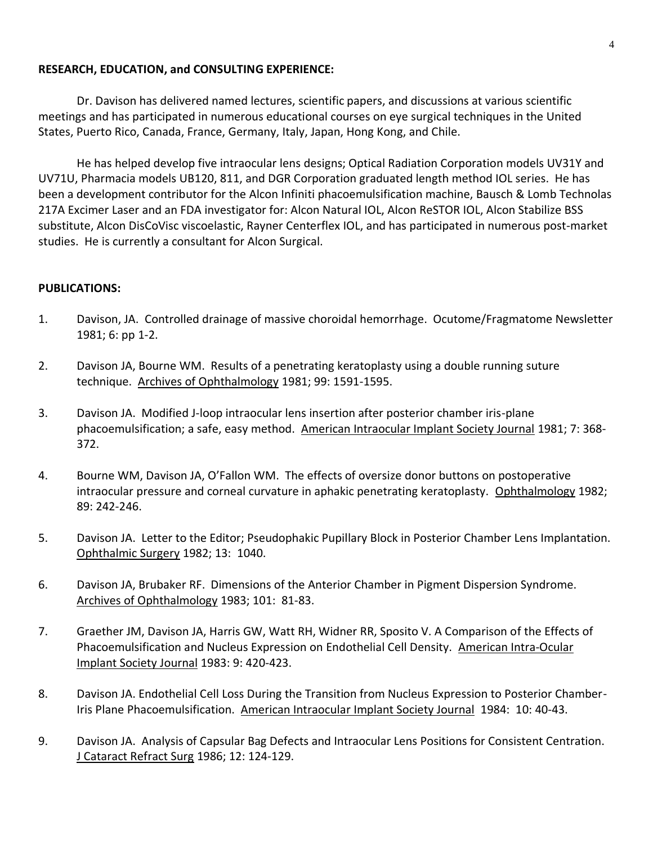## **RESEARCH, EDUCATION, and CONSULTING EXPERIENCE:**

Dr. Davison has delivered named lectures, scientific papers, and discussions at various scientific meetings and has participated in numerous educational courses on eye surgical techniques in the United States, Puerto Rico, Canada, France, Germany, Italy, Japan, Hong Kong, and Chile.

He has helped develop five intraocular lens designs; Optical Radiation Corporation models UV31Y and UV71U, Pharmacia models UB120, 811, and DGR Corporation graduated length method IOL series. He has been a development contributor for the Alcon Infiniti phacoemulsification machine, Bausch & Lomb Technolas 217A Excimer Laser and an FDA investigator for: Alcon Natural IOL, Alcon ReSTOR IOL, Alcon Stabilize BSS substitute, Alcon DisCoVisc viscoelastic, Rayner Centerflex IOL, and has participated in numerous post-market studies. He is currently a consultant for Alcon Surgical.

## **PUBLICATIONS:**

- 1. Davison, JA. Controlled drainage of massive choroidal hemorrhage. Ocutome/Fragmatome Newsletter 1981; 6: pp 1-2.
- 2. Davison JA, Bourne WM. Results of a penetrating keratoplasty using a double running suture technique. Archives of Ophthalmology 1981; 99: 1591-1595.
- 3. Davison JA. Modified J-loop intraocular lens insertion after posterior chamber iris-plane phacoemulsification; a safe, easy method. American Intraocular Implant Society Journal 1981; 7: 368- 372.
- 4. Bourne WM, Davison JA, O'Fallon WM. The effects of oversize donor buttons on postoperative intraocular pressure and corneal curvature in aphakic penetrating keratoplasty. Ophthalmology 1982; 89: 242-246.
- 5. Davison JA. Letter to the Editor; Pseudophakic Pupillary Block in Posterior Chamber Lens Implantation. Ophthalmic Surgery 1982; 13: 1040.
- 6. Davison JA, Brubaker RF. Dimensions of the Anterior Chamber in Pigment Dispersion Syndrome. Archives of Ophthalmology 1983; 101: 81-83.
- 7. Graether JM, Davison JA, Harris GW, Watt RH, Widner RR, Sposito V. A Comparison of the Effects of Phacoemulsification and Nucleus Expression on Endothelial Cell Density. American Intra-Ocular Implant Society Journal 1983: 9: 420-423.
- 8. Davison JA. Endothelial Cell Loss During the Transition from Nucleus Expression to Posterior Chamber-Iris Plane Phacoemulsification. American Intraocular Implant Society Journal 1984: 10: 40-43.
- 9. Davison JA. Analysis of Capsular Bag Defects and Intraocular Lens Positions for Consistent Centration. J Cataract Refract Surg 1986; 12: 124-129.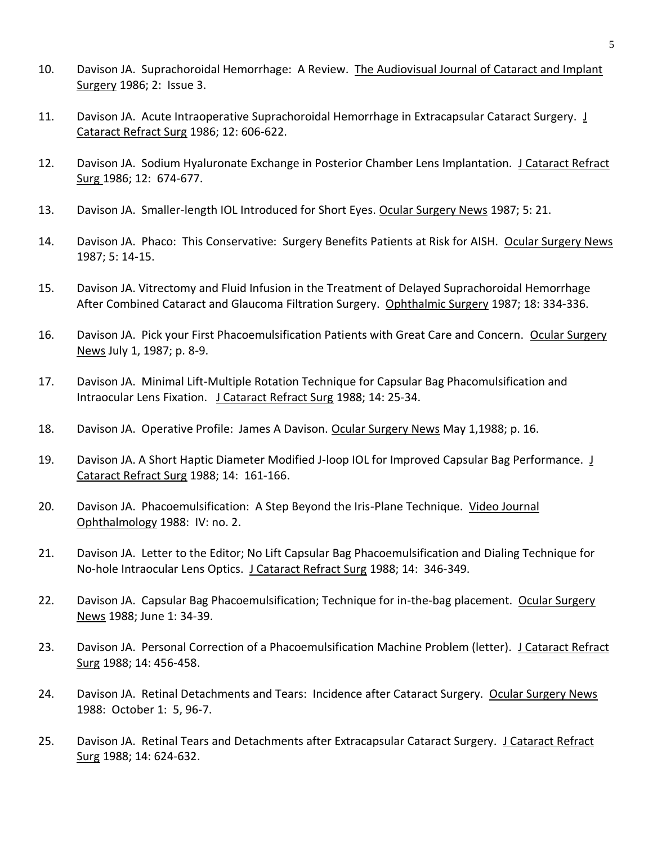- 10. Davison JA. Suprachoroidal Hemorrhage: A Review. The Audiovisual Journal of Cataract and Implant Surgery 1986; 2: Issue 3.
- 11. Davison JA. Acute Intraoperative Suprachoroidal Hemorrhage in Extracapsular Cataract Surgery. J Cataract Refract Surg 1986; 12: 606-622.
- 12. Davison JA. Sodium Hyaluronate Exchange in Posterior Chamber Lens Implantation. J Cataract Refract Surg 1986; 12: 674-677.
- 13. Davison JA. Smaller-length IOL Introduced for Short Eyes. Ocular Surgery News 1987; 5: 21.
- 14. Davison JA. Phaco: This Conservative: Surgery Benefits Patients at Risk for AISH. Ocular Surgery News 1987; 5: 14-15.
- 15. Davison JA. Vitrectomy and Fluid Infusion in the Treatment of Delayed Suprachoroidal Hemorrhage After Combined Cataract and Glaucoma Filtration Surgery. Ophthalmic Surgery 1987; 18: 334-336.
- 16. Davison JA. Pick your First Phacoemulsification Patients with Great Care and Concern. Ocular Surgery News July 1, 1987; p. 8-9.
- 17. Davison JA. Minimal Lift-Multiple Rotation Technique for Capsular Bag Phacomulsification and Intraocular Lens Fixation. J Cataract Refract Surg 1988; 14: 25-34.
- 18. Davison JA. Operative Profile: James A Davison. Ocular Surgery News May 1,1988; p. 16.
- 19. Davison JA. A Short Haptic Diameter Modified J-loop IOL for Improved Capsular Bag Performance. J Cataract Refract Surg 1988; 14: 161-166.
- 20. Davison JA. Phacoemulsification: A Step Beyond the Iris-Plane Technique. Video Journal Ophthalmology 1988: IV: no. 2.
- 21. Davison JA. Letter to the Editor; No Lift Capsular Bag Phacoemulsification and Dialing Technique for No-hole Intraocular Lens Optics. J Cataract Refract Surg 1988; 14: 346-349.
- 22. Davison JA. Capsular Bag Phacoemulsification; Technique for in-the-bag placement. Ocular Surgery News 1988; June 1: 34-39.
- 23. Davison JA. Personal Correction of a Phacoemulsification Machine Problem (letter). J Cataract Refract Surg 1988; 14: 456-458.
- 24. Davison JA. Retinal Detachments and Tears: Incidence after Cataract Surgery. Ocular Surgery News 1988: October 1: 5, 96-7.
- 25. Davison JA. Retinal Tears and Detachments after Extracapsular Cataract Surgery. J Cataract Refract Surg 1988; 14: 624-632.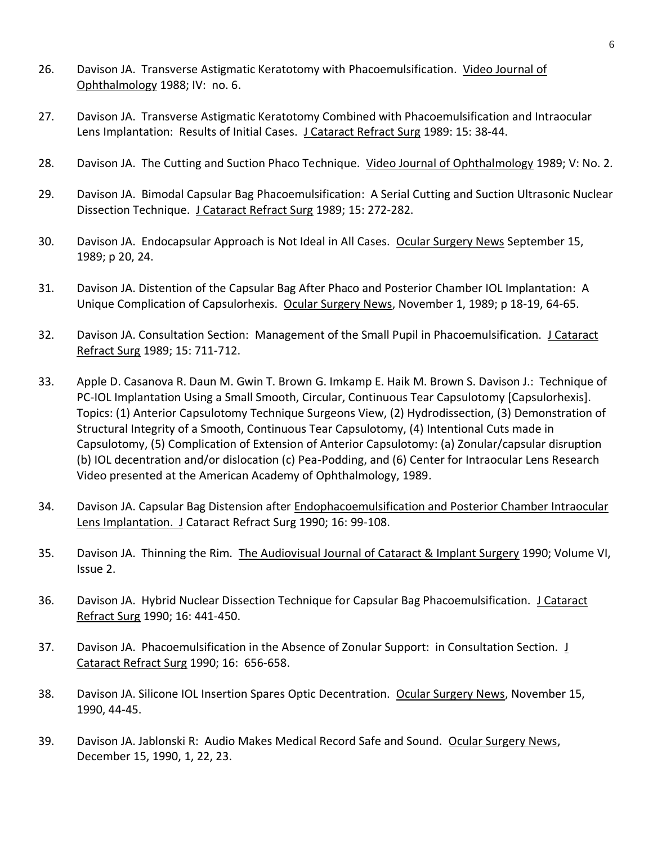- 26. Davison JA. Transverse Astigmatic Keratotomy with Phacoemulsification. Video Journal of Ophthalmology 1988; IV: no. 6.
- 27. Davison JA. Transverse Astigmatic Keratotomy Combined with Phacoemulsification and Intraocular Lens Implantation: Results of Initial Cases. J Cataract Refract Surg 1989: 15: 38-44.
- 28. Davison JA. The Cutting and Suction Phaco Technique. Video Journal of Ophthalmology 1989; V: No. 2.
- 29. Davison JA. Bimodal Capsular Bag Phacoemulsification: A Serial Cutting and Suction Ultrasonic Nuclear Dissection Technique. J Cataract Refract Surg 1989; 15: 272-282.
- 30. Davison JA. Endocapsular Approach is Not Ideal in All Cases. Ocular Surgery News September 15, 1989; p 20, 24.
- 31. Davison JA. Distention of the Capsular Bag After Phaco and Posterior Chamber IOL Implantation: A Unique Complication of Capsulorhexis. Ocular Surgery News, November 1, 1989; p 18-19, 64-65.
- 32. Davison JA. Consultation Section: Management of the Small Pupil in Phacoemulsification. J Cataract Refract Surg 1989; 15: 711-712.
- 33. Apple D. Casanova R. Daun M. Gwin T. Brown G. Imkamp E. Haik M. Brown S. Davison J.: Technique of PC-IOL Implantation Using a Small Smooth, Circular, Continuous Tear Capsulotomy [Capsulorhexis]. Topics: (1) Anterior Capsulotomy Technique Surgeons View, (2) Hydrodissection, (3) Demonstration of Structural Integrity of a Smooth, Continuous Tear Capsulotomy, (4) Intentional Cuts made in Capsulotomy, (5) Complication of Extension of Anterior Capsulotomy: (a) Zonular/capsular disruption (b) IOL decentration and/or dislocation (c) Pea-Podding, and (6) Center for Intraocular Lens Research Video presented at the American Academy of Ophthalmology, 1989.
- 34. Davison JA. Capsular Bag Distension after Endophacoemulsification and Posterior Chamber Intraocular Lens Implantation. J Cataract Refract Surg 1990; 16: 99-108.
- 35. Davison JA. Thinning the Rim. The Audiovisual Journal of Cataract & Implant Surgery 1990; Volume VI, Issue 2.
- 36. Davison JA. Hybrid Nuclear Dissection Technique for Capsular Bag Phacoemulsification. J Cataract Refract Surg 1990; 16: 441-450.
- 37. Davison JA. Phacoemulsification in the Absence of Zonular Support: in Consultation Section. *J* Cataract Refract Surg 1990; 16: 656-658.
- 38. Davison JA. Silicone IOL Insertion Spares Optic Decentration. Ocular Surgery News, November 15, 1990, 44-45.
- 39. Davison JA. Jablonski R: Audio Makes Medical Record Safe and Sound. Ocular Surgery News, December 15, 1990, 1, 22, 23.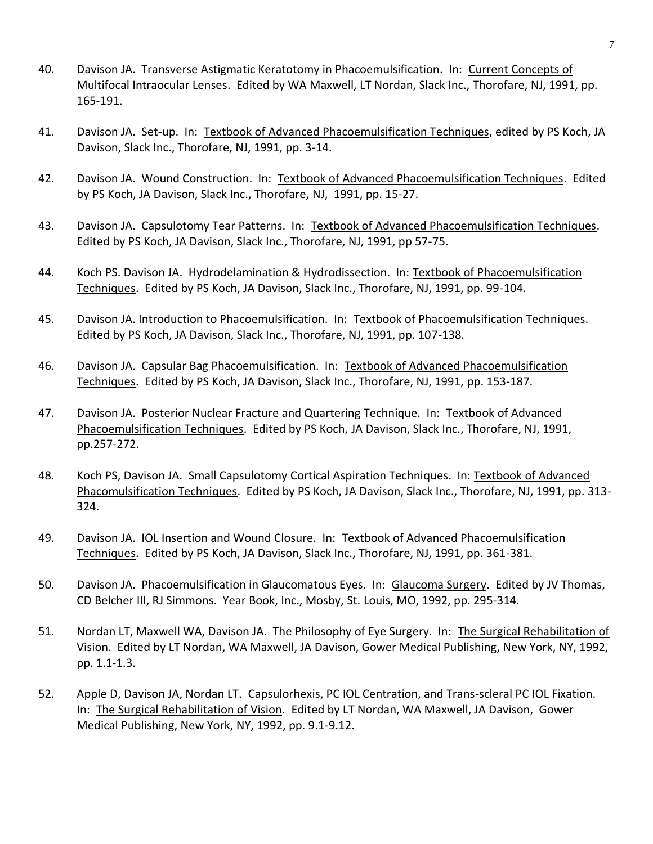- 40. Davison JA. Transverse Astigmatic Keratotomy in Phacoemulsification. In: Current Concepts of Multifocal Intraocular Lenses. Edited by WA Maxwell, LT Nordan, Slack Inc., Thorofare, NJ, 1991, pp. 165-191.
- 41. Davison JA. Set-up. In: Textbook of Advanced Phacoemulsification Techniques, edited by PS Koch, JA Davison, Slack Inc., Thorofare, NJ, 1991, pp. 3-14.
- 42. Davison JA. Wound Construction. In: Textbook of Advanced Phacoemulsification Techniques. Edited by PS Koch, JA Davison, Slack Inc., Thorofare, NJ, 1991, pp. 15-27.
- 43. Davison JA. Capsulotomy Tear Patterns. In: Textbook of Advanced Phacoemulsification Techniques. Edited by PS Koch, JA Davison, Slack Inc., Thorofare, NJ, 1991, pp 57-75.
- 44. Koch PS. Davison JA. Hydrodelamination & Hydrodissection. In: Textbook of Phacoemulsification Techniques. Edited by PS Koch, JA Davison, Slack Inc., Thorofare, NJ, 1991, pp. 99-104.
- 45. Davison JA. Introduction to Phacoemulsification. In: Textbook of Phacoemulsification Techniques. Edited by PS Koch, JA Davison, Slack Inc., Thorofare, NJ, 1991, pp. 107-138.
- 46. Davison JA. Capsular Bag Phacoemulsification. In: Textbook of Advanced Phacoemulsification Techniques. Edited by PS Koch, JA Davison, Slack Inc., Thorofare, NJ, 1991, pp. 153-187.
- 47. Davison JA. Posterior Nuclear Fracture and Quartering Technique. In: Textbook of Advanced Phacoemulsification Techniques. Edited by PS Koch, JA Davison, Slack Inc., Thorofare, NJ, 1991, pp.257-272.
- 48. Koch PS, Davison JA. Small Capsulotomy Cortical Aspiration Techniques. In: Textbook of Advanced Phacomulsification Techniques. Edited by PS Koch, JA Davison, Slack Inc., Thorofare, NJ, 1991, pp. 313- 324.
- 49. Davison JA. IOL Insertion and Wound Closure. In: Textbook of Advanced Phacoemulsification Techniques. Edited by PS Koch, JA Davison, Slack Inc., Thorofare, NJ, 1991, pp. 361-381.
- 50. Davison JA. Phacoemulsification in Glaucomatous Eyes. In: Glaucoma Surgery. Edited by JV Thomas, CD Belcher III, RJ Simmons. Year Book, Inc., Mosby, St. Louis, MO, 1992, pp. 295-314.
- 51. Nordan LT, Maxwell WA, Davison JA. The Philosophy of Eye Surgery. In: The Surgical Rehabilitation of Vision. Edited by LT Nordan, WA Maxwell, JA Davison, Gower Medical Publishing, New York, NY, 1992, pp. 1.1-1.3.
- 52. Apple D, Davison JA, Nordan LT. Capsulorhexis, PC IOL Centration, and Trans-scleral PC IOL Fixation. In: The Surgical Rehabilitation of Vision. Edited by LT Nordan, WA Maxwell, JA Davison, Gower Medical Publishing, New York, NY, 1992, pp. 9.1-9.12.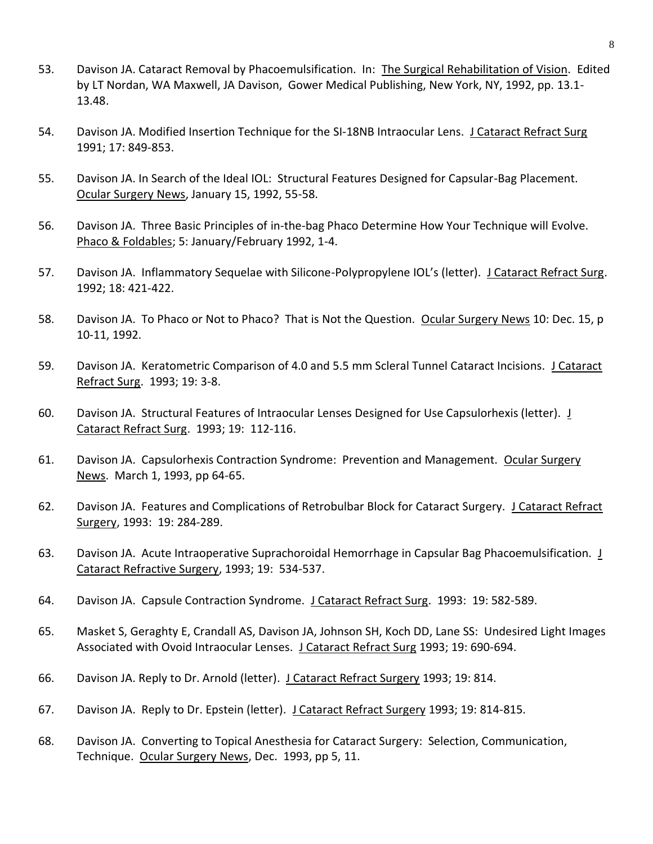- 53. Davison JA. Cataract Removal by Phacoemulsification. In: The Surgical Rehabilitation of Vision. Edited by LT Nordan, WA Maxwell, JA Davison, Gower Medical Publishing, New York, NY, 1992, pp. 13.1- 13.48.
- 54. Davison JA. Modified Insertion Technique for the SI-18NB Intraocular Lens. J Cataract Refract Surg 1991; 17: 849-853.
- 55. Davison JA. In Search of the Ideal IOL: Structural Features Designed for Capsular-Bag Placement. Ocular Surgery News, January 15, 1992, 55-58.
- 56. Davison JA. Three Basic Principles of in-the-bag Phaco Determine How Your Technique will Evolve. Phaco & Foldables; 5: January/February 1992, 1-4.
- 57. Davison JA. Inflammatory Sequelae with Silicone-Polypropylene IOL's (letter). J Cataract Refract Surg. 1992; 18: 421-422.
- 58. Davison JA. To Phaco or Not to Phaco? That is Not the Question. Ocular Surgery News 10: Dec. 15, p 10-11, 1992.
- 59. Davison JA. Keratometric Comparison of 4.0 and 5.5 mm Scleral Tunnel Cataract Incisions. J Cataract Refract Surg. 1993; 19: 3-8.
- 60. Davison JA. Structural Features of Intraocular Lenses Designed for Use Capsulorhexis (letter). J Cataract Refract Surg. 1993; 19: 112-116.
- 61. Davison JA. Capsulorhexis Contraction Syndrome: Prevention and Management. Ocular Surgery News. March 1, 1993, pp 64-65.
- 62. Davison JA. Features and Complications of Retrobulbar Block for Cataract Surgery. J Cataract Refract Surgery, 1993: 19: 284-289.
- 63. Davison JA. Acute Intraoperative Suprachoroidal Hemorrhage in Capsular Bag Phacoemulsification. J Cataract Refractive Surgery, 1993; 19: 534-537.
- 64. Davison JA. Capsule Contraction Syndrome. J Cataract Refract Surg. 1993: 19: 582-589.
- 65. Masket S, Geraghty E, Crandall AS, Davison JA, Johnson SH, Koch DD, Lane SS: Undesired Light Images Associated with Ovoid Intraocular Lenses. J Cataract Refract Surg 1993; 19: 690-694.
- 66. Davison JA. Reply to Dr. Arnold (letter). J Cataract Refract Surgery 1993; 19: 814.
- 67. Davison JA. Reply to Dr. Epstein (letter). J Cataract Refract Surgery 1993; 19: 814-815.
- 68. Davison JA. Converting to Topical Anesthesia for Cataract Surgery: Selection, Communication, Technique. Ocular Surgery News, Dec. 1993, pp 5, 11.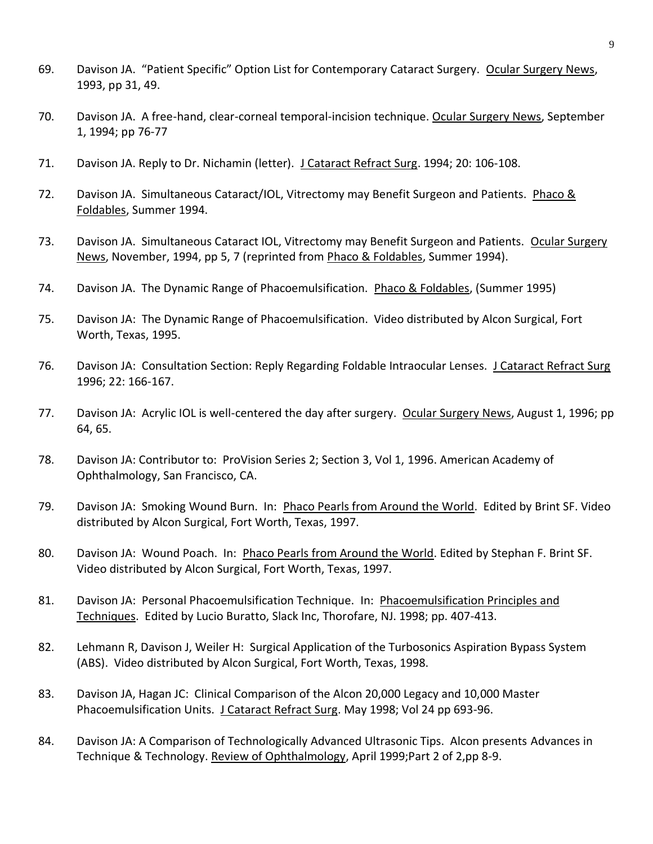- 69. Davison JA. "Patient Specific" Option List for Contemporary Cataract Surgery. Ocular Surgery News, 1993, pp 31, 49.
- 70. Davison JA. A free-hand, clear-corneal temporal-incision technique. Ocular Surgery News, September 1, 1994; pp 76-77
- 71. Davison JA. Reply to Dr. Nichamin (letter). J Cataract Refract Surg. 1994; 20: 106-108.
- 72. Davison JA. Simultaneous Cataract/IOL, Vitrectomy may Benefit Surgeon and Patients. Phaco & Foldables, Summer 1994.
- 73. Davison JA. Simultaneous Cataract IOL, Vitrectomy may Benefit Surgeon and Patients. Ocular Surgery News, November, 1994, pp 5, 7 (reprinted from Phaco & Foldables, Summer 1994).
- 74. Davison JA. The Dynamic Range of Phacoemulsification. Phaco & Foldables, (Summer 1995)
- 75. Davison JA: The Dynamic Range of Phacoemulsification. Video distributed by Alcon Surgical, Fort Worth, Texas, 1995.
- 76. Davison JA: Consultation Section: Reply Regarding Foldable Intraocular Lenses. J Cataract Refract Surg 1996; 22: 166-167.
- 77. Davison JA: Acrylic IOL is well-centered the day after surgery. Ocular Surgery News, August 1, 1996; pp 64, 65.
- 78. Davison JA: Contributor to: ProVision Series 2; Section 3, Vol 1, 1996. American Academy of Ophthalmology, San Francisco, CA.
- 79. Davison JA: Smoking Wound Burn. In: Phaco Pearls from Around the World. Edited by Brint SF. Video distributed by Alcon Surgical, Fort Worth, Texas, 1997.
- 80. Davison JA: Wound Poach. In: Phaco Pearls from Around the World. Edited by Stephan F. Brint SF. Video distributed by Alcon Surgical, Fort Worth, Texas, 1997.
- 81. Davison JA: Personal Phacoemulsification Technique. In: Phacoemulsification Principles and Techniques. Edited by Lucio Buratto, Slack Inc, Thorofare, NJ. 1998; pp. 407-413.
- 82. Lehmann R, Davison J, Weiler H: Surgical Application of the Turbosonics Aspiration Bypass System (ABS). Video distributed by Alcon Surgical, Fort Worth, Texas, 1998.
- 83. Davison JA, Hagan JC: Clinical Comparison of the Alcon 20,000 Legacy and 10,000 Master Phacoemulsification Units. J Cataract Refract Surg. May 1998; Vol 24 pp 693-96.
- 84. Davison JA: A Comparison of Technologically Advanced Ultrasonic Tips. Alcon presents Advances in Technique & Technology. Review of Ophthalmology, April 1999;Part 2 of 2,pp 8-9.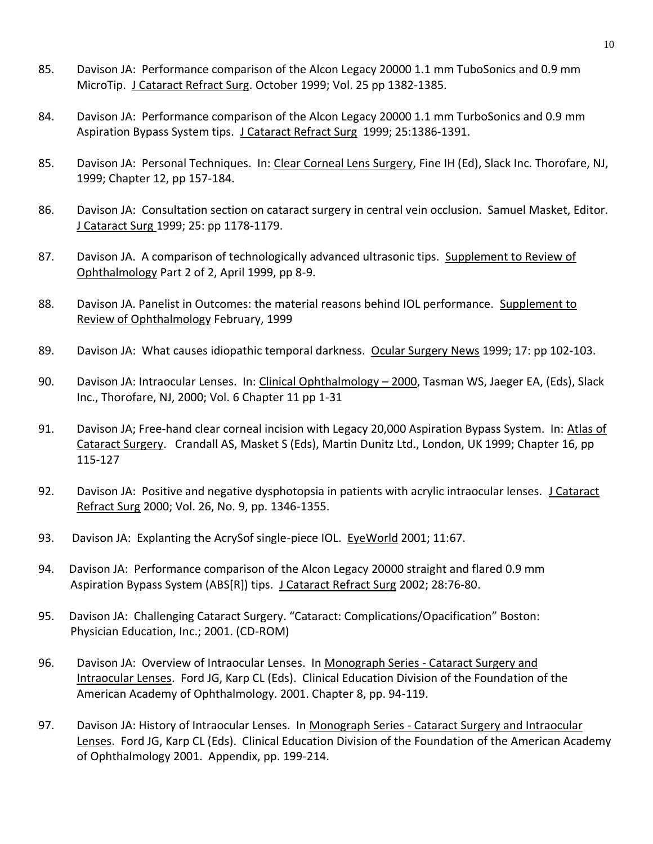- 85. Davison JA: Performance comparison of the Alcon Legacy 20000 1.1 mm TuboSonics and 0.9 mm MicroTip. J Cataract Refract Surg. October 1999; Vol. 25 pp 1382-1385.
- 84. Davison JA: Performance comparison of the Alcon Legacy 20000 1.1 mm TurboSonics and 0.9 mm Aspiration Bypass System tips. J Cataract Refract Surg 1999; 25:1386-1391.
- 85. Davison JA: Personal Techniques. In: Clear Corneal Lens Surgery, Fine IH (Ed), Slack Inc. Thorofare, NJ, 1999; Chapter 12, pp 157-184.
- 86. Davison JA: Consultation section on cataract surgery in central vein occlusion. Samuel Masket, Editor. J Cataract Surg 1999; 25: pp 1178-1179.
- 87. Davison JA. A comparison of technologically advanced ultrasonic tips. Supplement to Review of Ophthalmology Part 2 of 2, April 1999, pp 8-9.
- 88. Davison JA. Panelist in Outcomes: the material reasons behind IOL performance. Supplement to Review of Ophthalmology February, 1999
- 89. Davison JA: What causes idiopathic temporal darkness. Ocular Surgery News 1999; 17: pp 102-103.
- 90. Davison JA: Intraocular Lenses. In: Clinical Ophthalmology 2000, Tasman WS, Jaeger EA, (Eds), Slack Inc., Thorofare, NJ, 2000; Vol. 6 Chapter 11 pp 1-31
- 91. Davison JA; Free-hand clear corneal incision with Legacy 20,000 Aspiration Bypass System. In: Atlas of Cataract Surgery. Crandall AS, Masket S (Eds), Martin Dunitz Ltd., London, UK 1999; Chapter 16, pp 115-127
- 92. Davison JA: Positive and negative dysphotopsia in patients with acrylic intraocular lenses. J Cataract Refract Surg 2000; Vol. 26, No. 9, pp. 1346-1355.
- 93. Davison JA: Explanting the AcrySof single-piece IOL. EyeWorld 2001; 11:67.
- 94. Davison JA: Performance comparison of the Alcon Legacy 20000 straight and flared 0.9 mm Aspiration Bypass System (ABS[R]) tips. J Cataract Refract Surg 2002; 28:76-80.
- 95. Davison JA: Challenging Cataract Surgery. "Cataract: Complications/Opacification" Boston: Physician Education, Inc.; 2001. (CD-ROM)
- 96. Davison JA: Overview of Intraocular Lenses. In Monograph Series Cataract Surgery and Intraocular Lenses. Ford JG, Karp CL (Eds). Clinical Education Division of the Foundation of the American Academy of Ophthalmology. 2001. Chapter 8, pp. 94-119.
- 97. Davison JA: History of Intraocular Lenses. In Monograph Series Cataract Surgery and Intraocular Lenses. Ford JG, Karp CL (Eds). Clinical Education Division of the Foundation of the American Academy of Ophthalmology 2001. Appendix, pp. 199-214.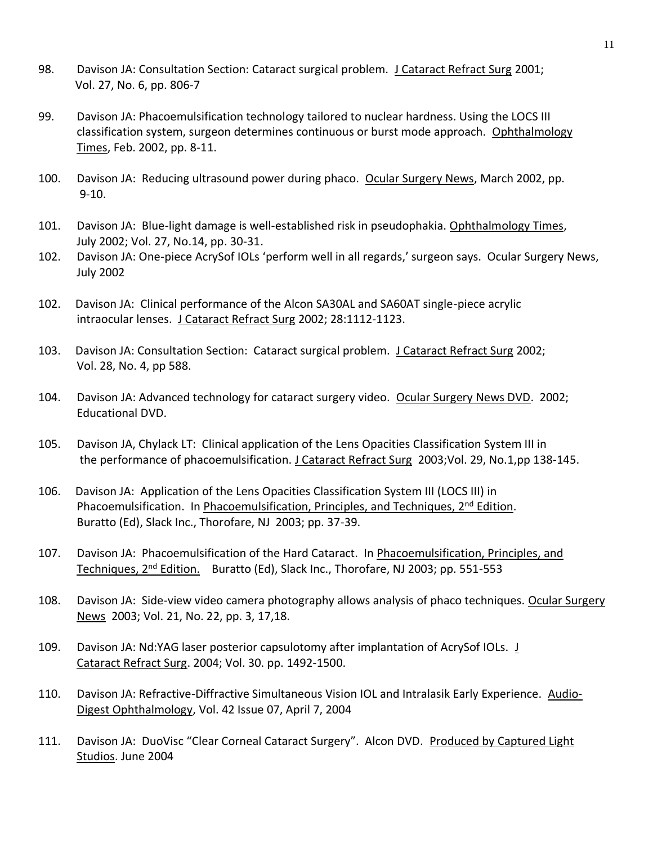- 98. Davison JA: Consultation Section: Cataract surgical problem. J Cataract Refract Surg 2001; Vol. 27, No. 6, pp. 806-7
- 99. Davison JA: Phacoemulsification technology tailored to nuclear hardness. Using the LOCS III classification system, surgeon determines continuous or burst mode approach. Ophthalmology Times, Feb. 2002, pp. 8-11.
- 100. Davison JA: Reducing ultrasound power during phaco. Ocular Surgery News, March 2002, pp. 9-10.
- 101. Davison JA: Blue-light damage is well-established risk in pseudophakia. Ophthalmology Times, July 2002; Vol. 27, No.14, pp. 30-31.
- 102. Davison JA: One-piece AcrySof IOLs 'perform well in all regards,' surgeon says. Ocular Surgery News, July 2002
- 102. Davison JA: Clinical performance of the Alcon SA30AL and SA60AT single-piece acrylic intraocular lenses. J Cataract Refract Surg 2002; 28:1112-1123.
- 103. Davison JA: Consultation Section: Cataract surgical problem. J Cataract Refract Surg 2002; Vol. 28, No. 4, pp 588.
- 104. Davison JA: Advanced technology for cataract surgery video. Ocular Surgery News DVD. 2002; Educational DVD.
- 105. Davison JA, Chylack LT: Clinical application of the Lens Opacities Classification System III in the performance of phacoemulsification. J Cataract Refract Surg 2003;Vol. 29, No.1,pp 138-145.
- 106. Davison JA: Application of the Lens Opacities Classification System III (LOCS III) in Phacoemulsification. In Phacoemulsification, Principles, and Techniques, 2<sup>nd</sup> Edition. Buratto (Ed), Slack Inc., Thorofare, NJ 2003; pp. 37-39.
- 107. Davison JA: Phacoemulsification of the Hard Cataract. In Phacoemulsification, Principles, and Techniques, 2nd Edition. Buratto (Ed), Slack Inc., Thorofare, NJ 2003; pp. 551-553
- 108. Davison JA: Side-view video camera photography allows analysis of phaco techniques. Ocular Surgery News 2003; Vol. 21, No. 22, pp. 3, 17,18.
- 109. Davison JA: Nd:YAG laser posterior capsulotomy after implantation of AcrySof IOLs. J Cataract Refract Surg. 2004; Vol. 30. pp. 1492-1500.
- 110. Davison JA: Refractive-Diffractive Simultaneous Vision IOL and Intralasik Early Experience. Audio-Digest Ophthalmology, Vol. 42 Issue 07, April 7, 2004
- 111. Davison JA: DuoVisc "Clear Corneal Cataract Surgery". Alcon DVD. Produced by Captured Light Studios. June 2004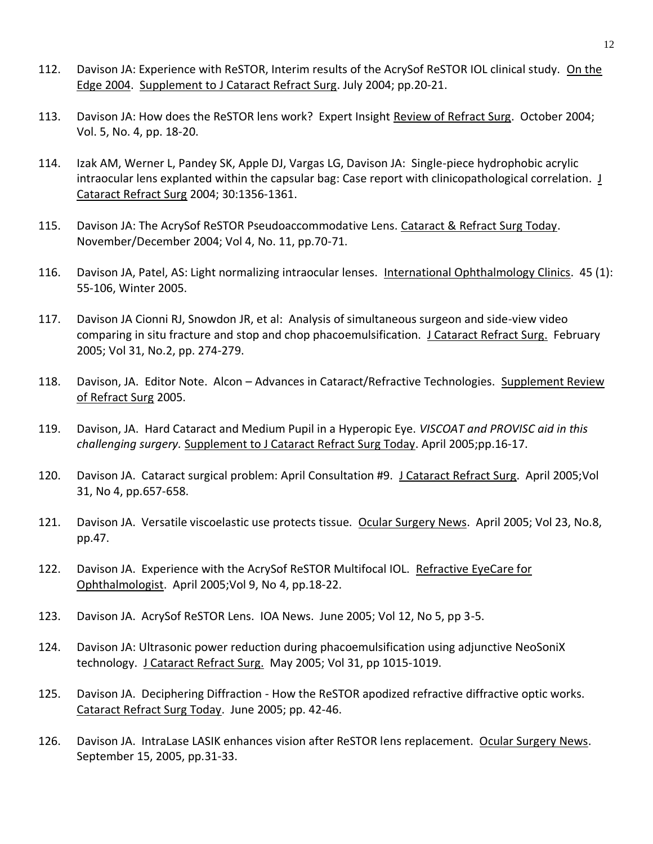- 112. Davison JA: Experience with ReSTOR, Interim results of the AcrySof ReSTOR IOL clinical study. On the Edge 2004. Supplement to J Cataract Refract Surg. July 2004; pp.20-21.
- 113. Davison JA: How does the ReSTOR lens work? Expert Insight Review of Refract Surg. October 2004; Vol. 5, No. 4, pp. 18-20.
- 114. Izak AM, Werner L, Pandey SK, Apple DJ, Vargas LG, Davison JA: Single-piece hydrophobic acrylic intraocular lens explanted within the capsular bag: Case report with clinicopathological correlation. J Cataract Refract Surg 2004; 30:1356-1361.
- 115. Davison JA: The AcrySof ReSTOR Pseudoaccommodative Lens. Cataract & Refract Surg Today. November/December 2004; Vol 4, No. 11, pp.70-71.
- 116. Davison JA, Patel, AS: Light normalizing intraocular lenses. International Ophthalmology Clinics. 45 (1): 55-106, Winter 2005.
- 117. Davison JA Cionni RJ, Snowdon JR, et al: Analysis of simultaneous surgeon and side-view video comparing in situ fracture and stop and chop phacoemulsification. J Cataract Refract Surg. February 2005; Vol 31, No.2, pp. 274-279.
- 118. Davison, JA. Editor Note. Alcon Advances in Cataract/Refractive Technologies. Supplement Review of Refract Surg 2005.
- 119. Davison, JA. Hard Cataract and Medium Pupil in a Hyperopic Eye. *VISCOAT and PROVISC aid in this challenging surgery.* Supplement to J Cataract Refract Surg Today. April 2005;pp.16-17.
- 120. Davison JA. Cataract surgical problem: April Consultation #9. J Cataract Refract Surg. April 2005; Vol 31, No 4, pp.657-658.
- 121. Davison JA. Versatile viscoelastic use protects tissue. Ocular Surgery News. April 2005; Vol 23, No.8, pp.47.
- 122. Davison JA. Experience with the AcrySof ReSTOR Multifocal IOL. Refractive EyeCare for Ophthalmologist. April 2005;Vol 9, No 4, pp.18-22.
- 123. Davison JA. AcrySof ReSTOR Lens. IOA News. June 2005; Vol 12, No 5, pp 3-5.
- 124. Davison JA: Ultrasonic power reduction during phacoemulsification using adjunctive NeoSoniX technology. J Cataract Refract Surg. May 2005; Vol 31, pp 1015-1019.
- 125. Davison JA. Deciphering Diffraction How the ReSTOR apodized refractive diffractive optic works. Cataract Refract Surg Today. June 2005; pp. 42-46.
- 126. Davison JA. IntraLase LASIK enhances vision after ReSTOR lens replacement. Ocular Surgery News. September 15, 2005, pp.31-33.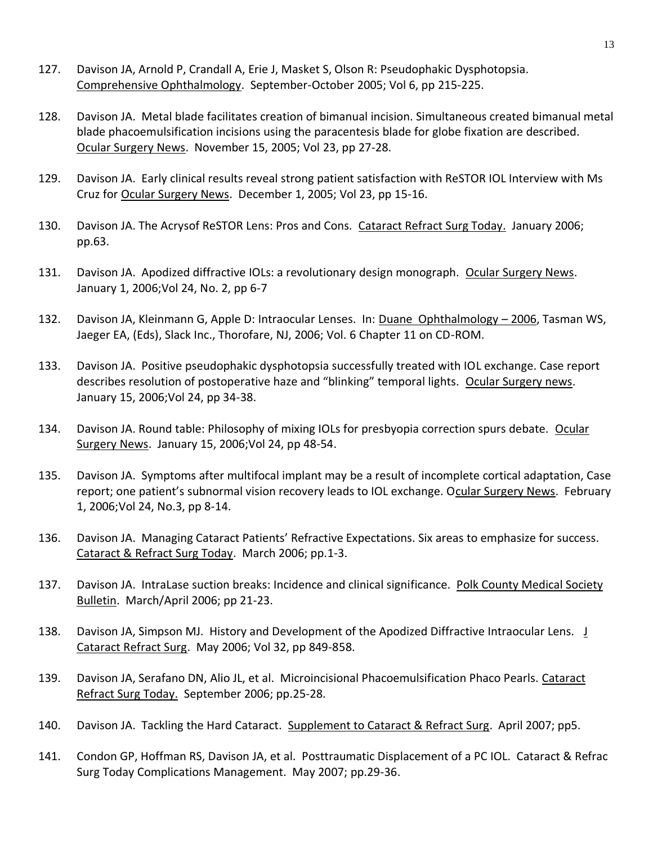- 127. Davison JA, Arnold P, Crandall A, Erie J, Masket S, Olson R: Pseudophakic Dysphotopsia. Comprehensive Ophthalmology. September-October 2005; Vol 6, pp 215-225.
- 128. Davison JA. Metal blade facilitates creation of bimanual incision. Simultaneous created bimanual metal blade phacoemulsification incisions using the paracentesis blade for globe fixation are described. Ocular Surgery News. November 15, 2005; Vol 23, pp 27-28.
- 129. Davison JA. Early clinical results reveal strong patient satisfaction with ReSTOR IOL Interview with Ms Cruz for Ocular Surgery News. December 1, 2005; Vol 23, pp 15-16.
- 130. Davison JA. The Acrysof ReSTOR Lens: Pros and Cons. Cataract Refract Surg Today. January 2006; pp.63.
- 131. Davison JA. Apodized diffractive IOLs: a revolutionary design monograph. Ocular Surgery News. January 1, 2006;Vol 24, No. 2, pp 6-7
- 132. Davison JA, Kleinmann G, Apple D: Intraocular Lenses. In: Duane Ophthalmology 2006, Tasman WS, Jaeger EA, (Eds), Slack Inc., Thorofare, NJ, 2006; Vol. 6 Chapter 11 on CD-ROM.
- 133. Davison JA. Positive pseudophakic dysphotopsia successfully treated with IOL exchange. Case report describes resolution of postoperative haze and "blinking" temporal lights. Ocular Surgery news. January 15, 2006;Vol 24, pp 34-38.
- 134. Davison JA. Round table: Philosophy of mixing IOLs for presbyopia correction spurs debate. Ocular Surgery News. January 15, 2006;Vol 24, pp 48-54.
- 135. Davison JA. Symptoms after multifocal implant may be a result of incomplete cortical adaptation, Case report; one patient's subnormal vision recovery leads to IOL exchange. Ocular Surgery News. February 1, 2006;Vol 24, No.3, pp 8-14.
- 136. Davison JA. Managing Cataract Patients' Refractive Expectations. Six areas to emphasize for success. Cataract & Refract Surg Today. March 2006; pp.1-3.
- 137. Davison JA. IntraLase suction breaks: Incidence and clinical significance. Polk County Medical Society Bulletin. March/April 2006; pp 21-23.
- 138. Davison JA, Simpson MJ. History and Development of the Apodized Diffractive Intraocular Lens. J Cataract Refract Surg. May 2006; Vol 32, pp 849-858.
- 139. Davison JA, Serafano DN, Alio JL, et al. Microincisional Phacoemulsification Phaco Pearls. Cataract Refract Surg Today. September 2006; pp.25-28.
- 140. Davison JA. Tackling the Hard Cataract. Supplement to Cataract & Refract Surg. April 2007; pp5.
- 141. Condon GP, Hoffman RS, Davison JA, et al. Posttraumatic Displacement of a PC IOL. Cataract & Refrac Surg Today Complications Management. May 2007; pp.29-36.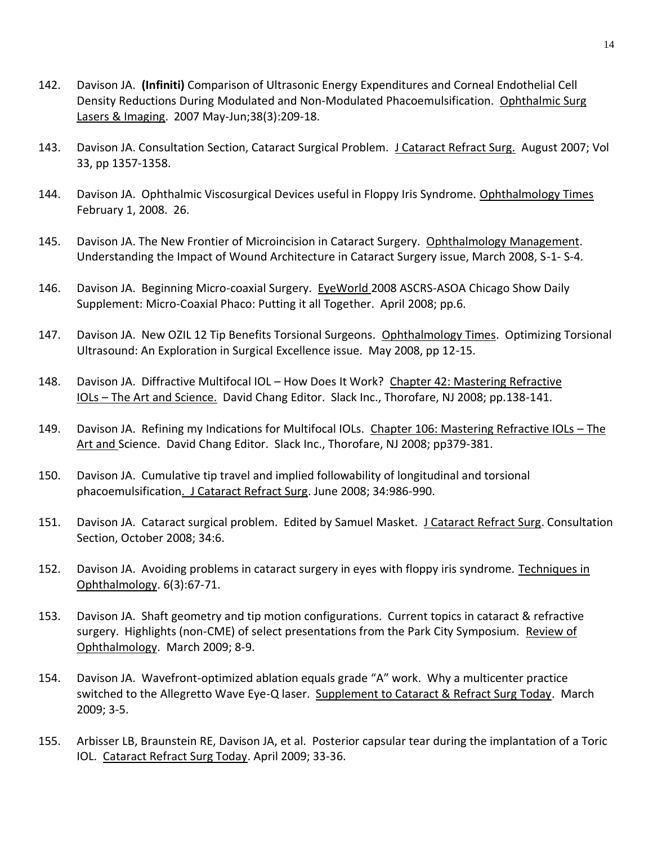- 142. Davison JA. **(Infiniti)** Comparison of Ultrasonic Energy Expenditures and Corneal Endothelial Cell Density Reductions During Modulated and Non-Modulated Phacoemulsification. Ophthalmic Surg Lasers & Imaging. 2007 May-Jun;38(3):209-18.
- 143. Davison JA. Consultation Section, Cataract Surgical Problem. J Cataract Refract Surg. August 2007; Vol 33, pp 1357-1358.
- 144. Davison JA. Ophthalmic Viscosurgical Devices useful in Floppy Iris Syndrome. Ophthalmology Times February 1, 2008. 26.
- 145. Davison JA. The New Frontier of Microincision in Cataract Surgery. Ophthalmology Management. Understanding the Impact of Wound Architecture in Cataract Surgery issue, March 2008, S-1- S-4.
- 146. Davison JA. Beginning Micro-coaxial Surgery. EyeWorld 2008 ASCRS-ASOA Chicago Show Daily Supplement: Micro-Coaxial Phaco: Putting it all Together. April 2008; pp.6.
- 147. Davison JA. New OZIL 12 Tip Benefits Torsional Surgeons. Ophthalmology Times. Optimizing Torsional Ultrasound: An Exploration in Surgical Excellence issue. May 2008, pp 12-15.
- 148. Davison JA. Diffractive Multifocal IOL How Does It Work? Chapter 42: Mastering Refractive IOLs – The Art and Science. David Chang Editor. Slack Inc., Thorofare, NJ 2008; pp.138-141.
- 149. Davison JA. Refining my Indications for Multifocal IOLs. Chapter 106: Mastering Refractive IOLs The Art and Science. David Chang Editor. Slack Inc., Thorofare, NJ 2008; pp379-381.
- 150. Davison JA. Cumulative tip travel and implied followability of longitudinal and torsional phacoemulsification. J Cataract Refract Surg. June 2008; 34:986-990.
- 151. Davison JA. Cataract surgical problem. Edited by Samuel Masket. J Cataract Refract Surg. Consultation Section, October 2008; 34:6.
- 152. Davison JA. Avoiding problems in cataract surgery in eyes with floppy iris syndrome. Techniques in Ophthalmology. 6(3):67-71.
- 153. Davison JA. Shaft geometry and tip motion configurations. Current topics in cataract & refractive surgery. Highlights (non-CME) of select presentations from the Park City Symposium. Review of Ophthalmology. March 2009; 8-9.
- 154. Davison JA. Wavefront-optimized ablation equals grade "A" work. Why a multicenter practice switched to the Allegretto Wave Eye-Q laser. Supplement to Cataract & Refract Surg Today. March 2009; 3-5.
- 155. Arbisser LB, Braunstein RE, Davison JA, et al. Posterior capsular tear during the implantation of a Toric IOL. Cataract Refract Surg Today. April 2009; 33-36.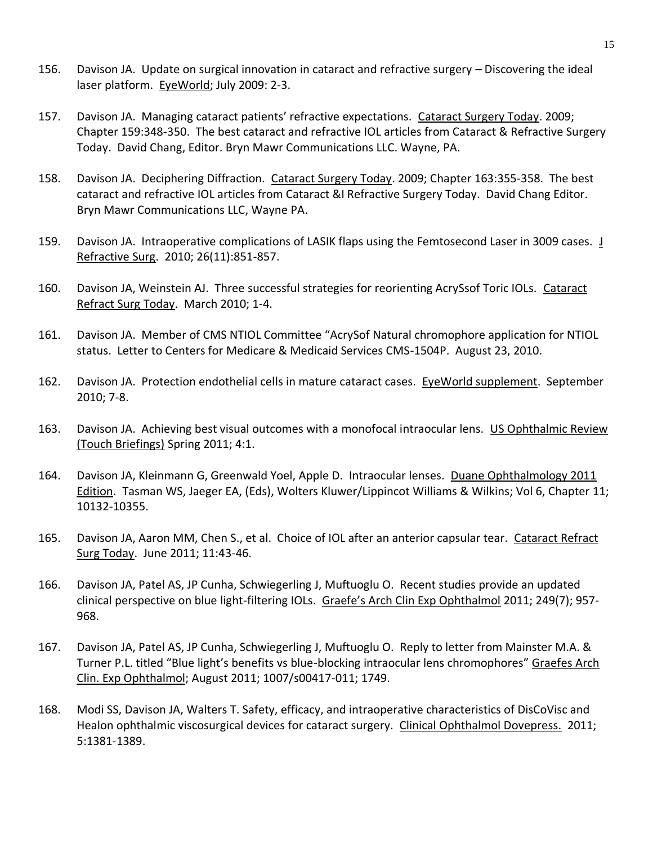- 156. Davison JA. Update on surgical innovation in cataract and refractive surgery Discovering the ideal laser platform. EyeWorld; July 2009: 2-3.
- 157. Davison JA. Managing cataract patients' refractive expectations. Cataract Surgery Today. 2009; Chapter 159:348-350. The best cataract and refractive IOL articles from Cataract & Refractive Surgery Today. David Chang, Editor. Bryn Mawr Communications LLC. Wayne, PA.
- 158. Davison JA. Deciphering Diffraction. Cataract Surgery Today. 2009; Chapter 163:355-358. The best cataract and refractive IOL articles from Cataract &I Refractive Surgery Today. David Chang Editor. Bryn Mawr Communications LLC, Wayne PA.
- 159. Davison JA. Intraoperative complications of LASIK flaps using the Femtosecond Laser in 3009 cases. J Refractive Surg. 2010; 26(11):851-857.
- 160. Davison JA, Weinstein AJ. Three successful strategies for reorienting AcrySsof Toric IOLs. Cataract Refract Surg Today. March 2010; 1-4.
- 161. Davison JA. Member of CMS NTIOL Committee "AcrySof Natural chromophore application for NTIOL status. Letter to Centers for Medicare & Medicaid Services CMS-1504P. August 23, 2010.
- 162. Davison JA. Protection endothelial cells in mature cataract cases. EyeWorld supplement. September 2010; 7-8.
- 163. Davison JA. Achieving best visual outcomes with a monofocal intraocular lens. US Ophthalmic Review (Touch Briefings) Spring 2011; 4:1.
- 164. Davison JA, Kleinmann G, Greenwald Yoel, Apple D. Intraocular lenses. Duane Ophthalmology 2011 Edition. Tasman WS, Jaeger EA, (Eds), Wolters Kluwer/Lippincot Williams & Wilkins; Vol 6, Chapter 11; 10132-10355.
- 165. Davison JA, Aaron MM, Chen S., et al. Choice of IOL after an anterior capsular tear. Cataract Refract Surg Today. June 2011; 11:43-46.
- 166. Davison JA, Patel AS, JP Cunha, Schwiegerling J, Muftuoglu O. Recent studies provide an updated clinical perspective on blue light-filtering IOLs. Graefe's Arch Clin Exp Ophthalmol 2011; 249(7); 957- 968.
- 167. Davison JA, Patel AS, JP Cunha, Schwiegerling J, Muftuoglu O. Reply to letter from Mainster M.A. & Turner P.L. titled "Blue light's benefits vs blue-blocking intraocular lens chromophores" Graefes Arch Clin. Exp Ophthalmol; August 2011; 1007/s00417-011; 1749.
- 168. Modi SS, Davison JA, Walters T. Safety, efficacy, and intraoperative characteristics of DisCoVisc and Healon ophthalmic viscosurgical devices for cataract surgery. Clinical Ophthalmol Dovepress. 2011; 5:1381-1389.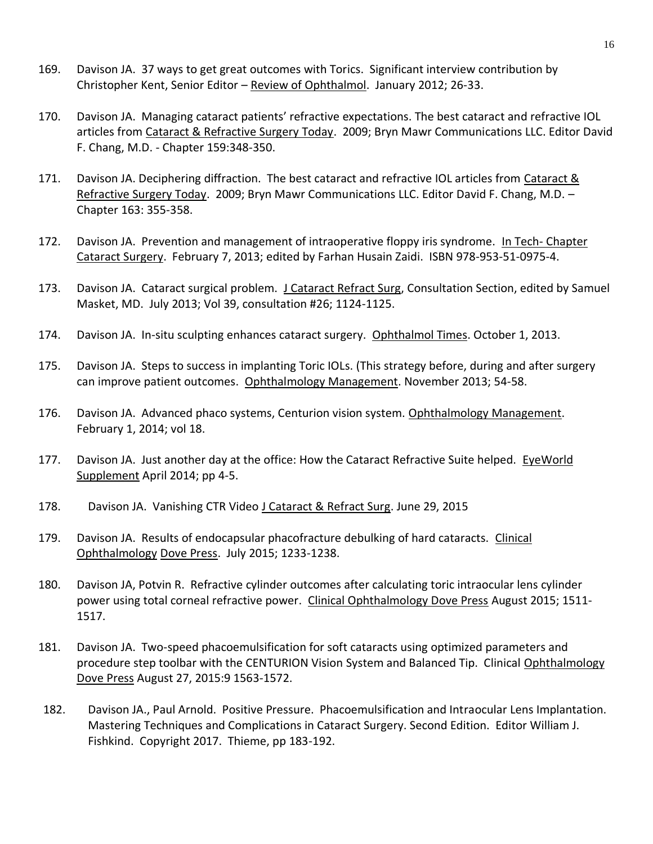- 169. Davison JA. 37 ways to get great outcomes with Torics. Significant interview contribution by Christopher Kent, Senior Editor – Review of Ophthalmol. January 2012; 26-33.
- 170. Davison JA. Managing cataract patients' refractive expectations. The best cataract and refractive IOL articles from Cataract & Refractive Surgery Today. 2009; Bryn Mawr Communications LLC. Editor David F. Chang, M.D. - Chapter 159:348-350.
- 171. Davison JA. Deciphering diffraction. The best cataract and refractive IOL articles from Cataract & Refractive Surgery Today. 2009; Bryn Mawr Communications LLC. Editor David F. Chang, M.D. -Chapter 163: 355-358.
- 172. Davison JA. Prevention and management of intraoperative floppy iris syndrome. In Tech- Chapter Cataract Surgery. February 7, 2013; edited by Farhan Husain Zaidi. ISBN 978-953-51-0975-4.
- 173. Davison JA. Cataract surgical problem. J Cataract Refract Surg, Consultation Section, edited by Samuel Masket, MD. July 2013; Vol 39, consultation #26; 1124-1125.
- 174. Davison JA. In-situ sculpting enhances cataract surgery. Ophthalmol Times. October 1, 2013.
- 175. Davison JA. Steps to success in implanting Toric IOLs. (This strategy before, during and after surgery can improve patient outcomes. Ophthalmology Management. November 2013; 54-58.
- 176. Davison JA. Advanced phaco systems, Centurion vision system. Ophthalmology Management. February 1, 2014; vol 18.
- 177. Davison JA. Just another day at the office: How the Cataract Refractive Suite helped. EyeWorld Supplement April 2014; pp 4-5.
- 178. Davison JA. Vanishing CTR Video J Cataract & Refract Surg. June 29, 2015
- 179. Davison JA. Results of endocapsular phacofracture debulking of hard cataracts. Clinical Ophthalmology Dove Press. July 2015; 1233-1238.
- 180. Davison JA, Potvin R. Refractive cylinder outcomes after calculating toric intraocular lens cylinder power using total corneal refractive power. Clinical Ophthalmology Dove Press August 2015; 1511- 1517.
- 181. Davison JA. Two-speed phacoemulsification for soft cataracts using optimized parameters and procedure step toolbar with the CENTURION Vision System and Balanced Tip. Clinical Ophthalmology Dove Press August 27, 2015:9 1563-1572.
- 182. Davison JA., Paul Arnold. Positive Pressure. Phacoemulsification and Intraocular Lens Implantation. Mastering Techniques and Complications in Cataract Surgery. Second Edition. Editor William J. Fishkind. Copyright 2017. Thieme, pp 183-192.